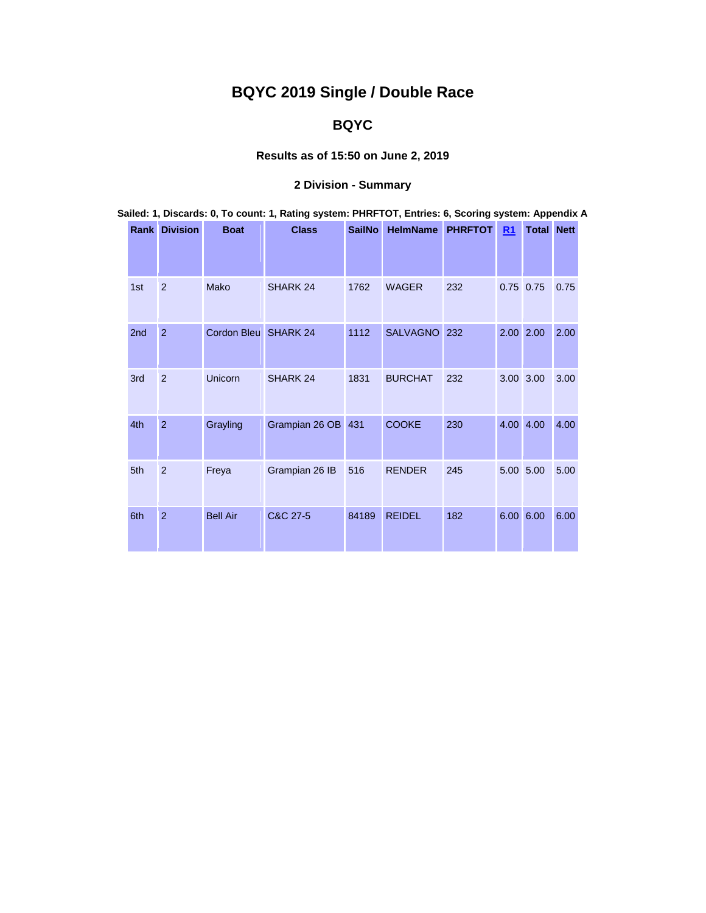# **BQYC 2019 Single / Double Race**

## **BQYC**

### **Results as of 15:50 on June 2, 2019**

## **2 Division - Summary**

| Sailed: 1, Discards: 0, To count: 1, Rating system: PHRFTOT, Entries: 6, Scoring system: Appendix A |                      |                      |                    |               |                  |     |    |                   |      |  |  |  |  |
|-----------------------------------------------------------------------------------------------------|----------------------|----------------------|--------------------|---------------|------------------|-----|----|-------------------|------|--|--|--|--|
|                                                                                                     | <b>Rank Division</b> | <b>Boat</b>          | <b>Class</b>       | <b>SailNo</b> | HelmName PHRFTOT |     | R1 | <b>Total Nett</b> |      |  |  |  |  |
| 1st                                                                                                 | $\overline{2}$       | Mako                 | SHARK 24           | 1762          | <b>WAGER</b>     | 232 |    | $0.75$ 0.75       | 0.75 |  |  |  |  |
| 2 <sub>nd</sub>                                                                                     | $\overline{2}$       | Cordon Bleu SHARK 24 |                    | 1112          | SALVAGNO 232     |     |    | 2.00 2.00         | 2.00 |  |  |  |  |
| 3rd                                                                                                 | $\overline{2}$       | Unicorn              | SHARK 24           | 1831          | <b>BURCHAT</b>   | 232 |    | 3.00 3.00         | 3.00 |  |  |  |  |
| 4th                                                                                                 | $\overline{2}$       | Grayling             | Grampian 26 OB 431 |               | <b>COOKE</b>     | 230 |    | 4.00 4.00         | 4.00 |  |  |  |  |
| 5th                                                                                                 | $\overline{2}$       | Freya                | Grampian 26 IB     | 516           | <b>RENDER</b>    | 245 |    | 5.00 5.00         | 5.00 |  |  |  |  |
| 6th                                                                                                 | $\overline{2}$       | <b>Bell Air</b>      | C&C 27-5           | 84189         | <b>REIDEL</b>    | 182 |    | 6.00 6.00         | 6.00 |  |  |  |  |